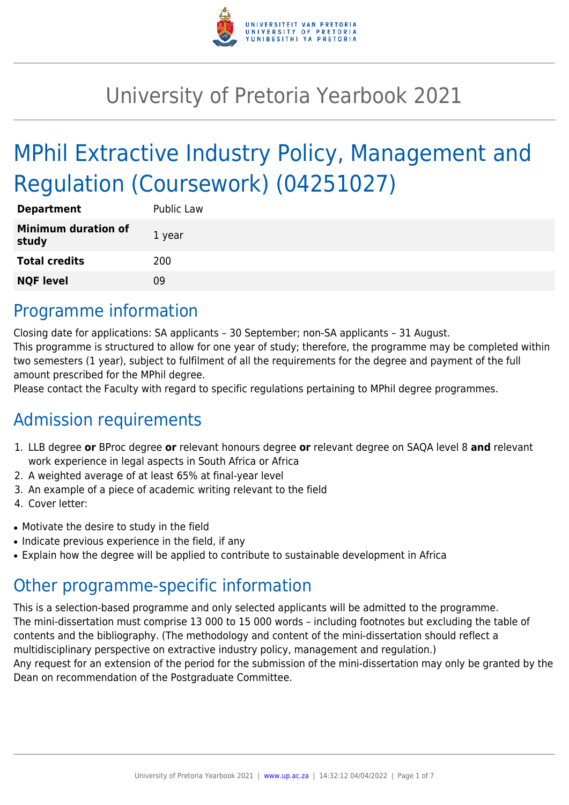

# University of Pretoria Yearbook 2021

# MPhil Extractive Industry Policy, Management and Regulation (Coursework) (04251027)

| <b>Department</b>                   | Public Law |
|-------------------------------------|------------|
| <b>Minimum duration of</b><br>study | 1 year     |
| <b>Total credits</b>                | 200        |
| <b>NQF level</b>                    | 09         |

# Programme information

Closing date for applications: SA applicants – 30 September; non-SA applicants – 31 August. This programme is structured to allow for one year of study; therefore, the programme may be completed within two semesters (1 year), subject to fulfilment of all the requirements for the degree and payment of the full amount prescribed for the MPhil degree.

Please contact the Faculty with regard to specific regulations pertaining to MPhil degree programmes.

# Admission requirements

- 1. LLB degree **or** BProc degree **or** relevant honours degree **or** relevant degree on SAQA level 8 **and** relevant work experience in legal aspects in South Africa or Africa
- 2. A weighted average of at least 65% at final-year level
- 3. An example of a piece of academic writing relevant to the field
- 4. Cover letter:
- Motivate the desire to study in the field
- Indicate previous experience in the field, if any
- Explain how the degree will be applied to contribute to sustainable development in Africa

# Other programme-specific information

This is a selection-based programme and only selected applicants will be admitted to the programme. The mini-dissertation must comprise 13 000 to 15 000 words – including footnotes but excluding the table of contents and the bibliography. (The methodology and content of the mini-dissertation should reflect a multidisciplinary perspective on extractive industry policy, management and regulation.) Any request for an extension of the period for the submission of the mini-dissertation may only be granted by the

Dean on recommendation of the Postgraduate Committee.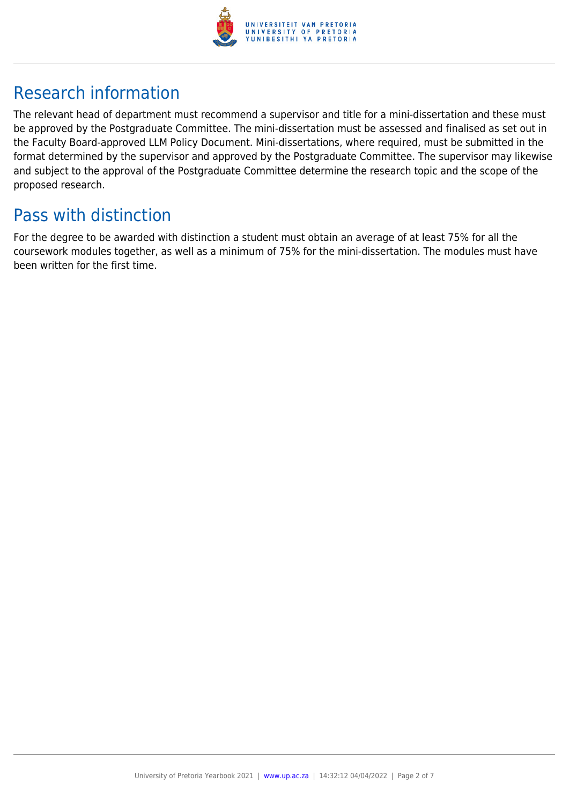

# Research information

The relevant head of department must recommend a supervisor and title for a mini-dissertation and these must be approved by the Postgraduate Committee. The mini-dissertation must be assessed and finalised as set out in the Faculty Board-approved LLM Policy Document. Mini-dissertations, where required, must be submitted in the format determined by the supervisor and approved by the Postgraduate Committee. The supervisor may likewise and subject to the approval of the Postgraduate Committee determine the research topic and the scope of the proposed research.

# Pass with distinction

For the degree to be awarded with distinction a student must obtain an average of at least 75% for all the coursework modules together, as well as a minimum of 75% for the mini-dissertation. The modules must have been written for the first time.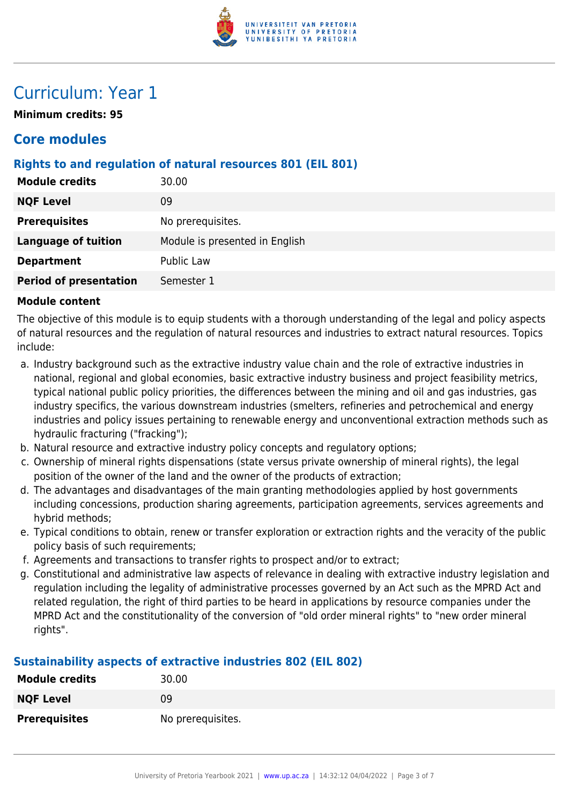

# Curriculum: Year 1

**Minimum credits: 95**

### **Core modules**

### **Rights to and regulation of natural resources 801 (EIL 801)**

| 30.00                          |
|--------------------------------|
| 09                             |
| No prerequisites.              |
| Module is presented in English |
| Public Law                     |
| Semester 1                     |
|                                |

### **Module content**

The objective of this module is to equip students with a thorough understanding of the legal and policy aspects of natural resources and the regulation of natural resources and industries to extract natural resources. Topics include:

- a. Industry background such as the extractive industry value chain and the role of extractive industries in national, regional and global economies, basic extractive industry business and project feasibility metrics, typical national public policy priorities, the differences between the mining and oil and gas industries, gas industry specifics, the various downstream industries (smelters, refineries and petrochemical and energy industries and policy issues pertaining to renewable energy and unconventional extraction methods such as hydraulic fracturing ("fracking");
- b. Natural resource and extractive industry policy concepts and regulatory options;
- c. Ownership of mineral rights dispensations (state versus private ownership of mineral rights), the legal position of the owner of the land and the owner of the products of extraction;
- d. The advantages and disadvantages of the main granting methodologies applied by host governments including concessions, production sharing agreements, participation agreements, services agreements and hybrid methods;
- e. Typical conditions to obtain, renew or transfer exploration or extraction rights and the veracity of the public policy basis of such requirements;
- f. Agreements and transactions to transfer rights to prospect and/or to extract;
- g. Constitutional and administrative law aspects of relevance in dealing with extractive industry legislation and regulation including the legality of administrative processes governed by an Act such as the MPRD Act and related regulation, the right of third parties to be heard in applications by resource companies under the MPRD Act and the constitutionality of the conversion of "old order mineral rights" to "new order mineral rights".

### **Sustainability aspects of extractive industries 802 (EIL 802)**

| <b>Module credits</b> | 30.00             |
|-----------------------|-------------------|
| <b>NQF Level</b>      | 09                |
| <b>Prerequisites</b>  | No prerequisites. |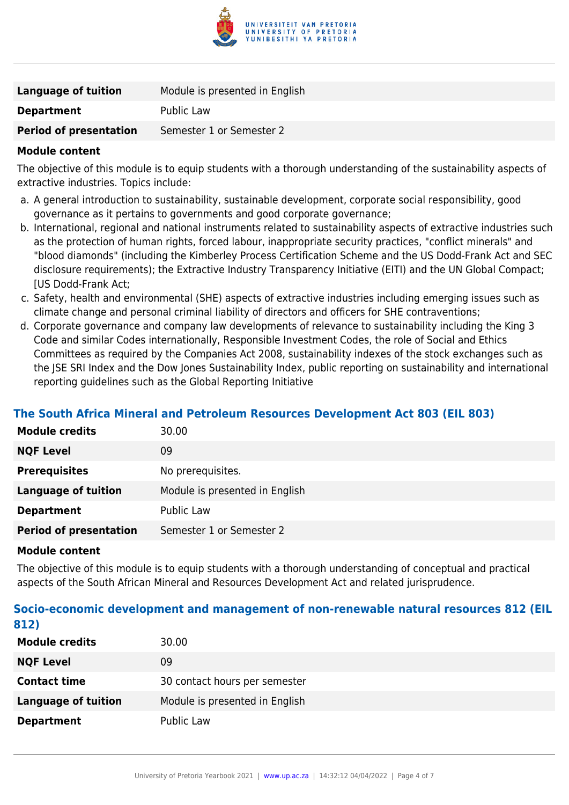

| Language of tuition           | Module is presented in English |
|-------------------------------|--------------------------------|
| <b>Department</b>             | Public Law                     |
| <b>Period of presentation</b> | Semester 1 or Semester 2       |
|                               |                                |

### **Module content**

The objective of this module is to equip students with a thorough understanding of the sustainability aspects of extractive industries. Topics include:

- a. A general introduction to sustainability, sustainable development, corporate social responsibility, good governance as it pertains to governments and good corporate governance;
- b. International, regional and national instruments related to sustainability aspects of extractive industries such as the protection of human rights, forced labour, inappropriate security practices, "conflict minerals" and "blood diamonds" (including the Kimberley Process Certification Scheme and the US Dodd-Frank Act and SEC disclosure requirements); the Extractive Industry Transparency Initiative (EITI) and the UN Global Compact; [US Dodd-Frank Act;
- c. Safety, health and environmental (SHE) aspects of extractive industries including emerging issues such as climate change and personal criminal liability of directors and officers for SHE contraventions;
- d. Corporate governance and company law developments of relevance to sustainability including the King 3 Code and similar Codes internationally, Responsible Investment Codes, the role of Social and Ethics Committees as required by the Companies Act 2008, sustainability indexes of the stock exchanges such as the JSE SRI Index and the Dow Jones Sustainability Index, public reporting on sustainability and international reporting guidelines such as the Global Reporting Initiative

### **The South Africa Mineral and Petroleum Resources Development Act 803 (EIL 803)**

| <b>Module credits</b>         | 30.00                          |
|-------------------------------|--------------------------------|
| <b>NQF Level</b>              | 09                             |
| <b>Prerequisites</b>          | No prerequisites.              |
| Language of tuition           | Module is presented in English |
| <b>Department</b>             | Public Law                     |
| <b>Period of presentation</b> | Semester 1 or Semester 2       |

#### **Module content**

The objective of this module is to equip students with a thorough understanding of conceptual and practical aspects of the South African Mineral and Resources Development Act and related jurisprudence.

### **Socio-economic development and management of non-renewable natural resources 812 (EIL 812)**

| <b>Module credits</b> | 30.00                          |
|-----------------------|--------------------------------|
| <b>NQF Level</b>      | 09                             |
| <b>Contact time</b>   | 30 contact hours per semester  |
| Language of tuition   | Module is presented in English |
| <b>Department</b>     | Public Law                     |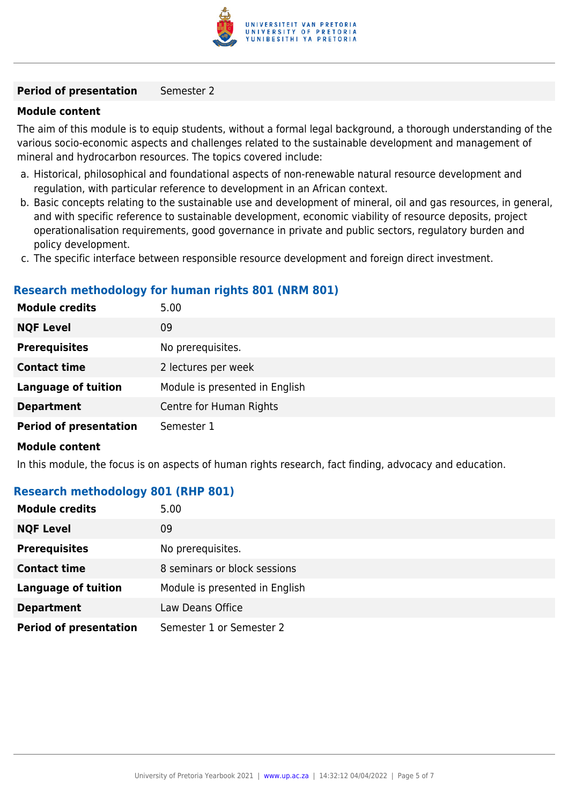

#### **Period of presentation** Semester 2

#### **Module content**

The aim of this module is to equip students, without a formal legal background, a thorough understanding of the various socio-economic aspects and challenges related to the sustainable development and management of mineral and hydrocarbon resources. The topics covered include:

- a. Historical, philosophical and foundational aspects of non-renewable natural resource development and regulation, with particular reference to development in an African context.
- b. Basic concepts relating to the sustainable use and development of mineral, oil and gas resources, in general, and with specific reference to sustainable development, economic viability of resource deposits, project operationalisation requirements, good governance in private and public sectors, regulatory burden and policy development.
- c. The specific interface between responsible resource development and foreign direct investment.

### **Research methodology for human rights 801 (NRM 801)**

| <b>Module credits</b>         | 5.00                           |
|-------------------------------|--------------------------------|
| <b>NQF Level</b>              | 09                             |
| <b>Prerequisites</b>          | No prerequisites.              |
| <b>Contact time</b>           | 2 lectures per week            |
| <b>Language of tuition</b>    | Module is presented in English |
| <b>Department</b>             | Centre for Human Rights        |
| <b>Period of presentation</b> | Semester 1                     |

### **Module content**

In this module, the focus is on aspects of human rights research, fact finding, advocacy and education.

### **Research methodology 801 (RHP 801)**

| <b>Module credits</b>         | 5.00                           |
|-------------------------------|--------------------------------|
| <b>NQF Level</b>              | 09                             |
| <b>Prerequisites</b>          | No prerequisites.              |
| <b>Contact time</b>           | 8 seminars or block sessions   |
| <b>Language of tuition</b>    | Module is presented in English |
| <b>Department</b>             | Law Deans Office               |
| <b>Period of presentation</b> | Semester 1 or Semester 2       |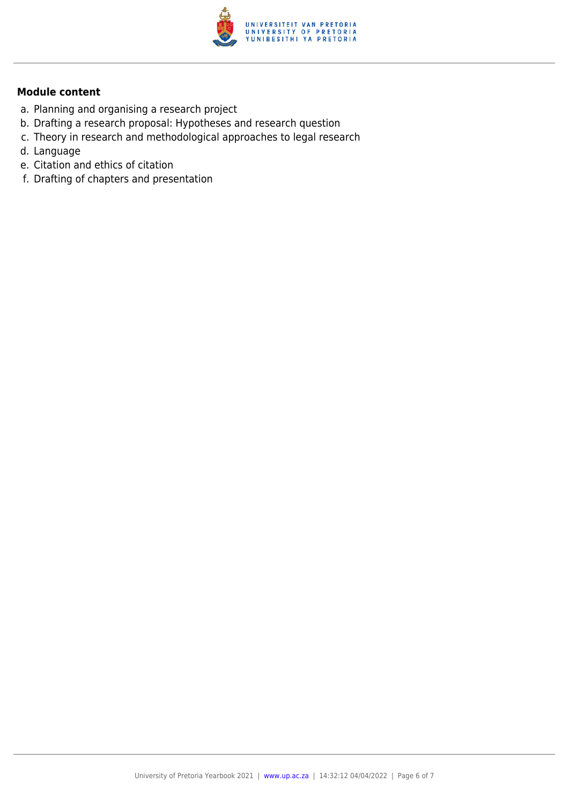

### **Module content**

- a. Planning and organising a research project
- b. Drafting a research proposal: Hypotheses and research question
- c. Theory in research and methodological approaches to legal research
- d. Language
- e. Citation and ethics of citation
- f. Drafting of chapters and presentation